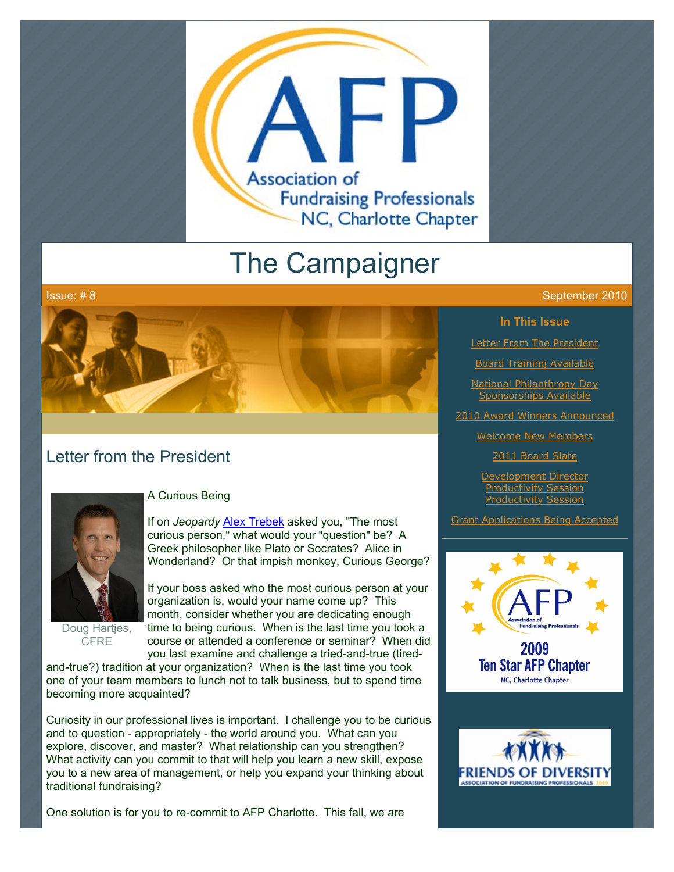

# The Campaigner



# Letter from the President



Doug Hartjes, **CFRE** 

#### A Curious Being

If on *Jeopardy* [Alex Trebek](http://en.wikipedia.org/wiki/Alex_Trebek) asked you, "The most curious person," what would your "question" be? A Greek philosopher like Plato or Socrates? Alice in Wonderland? Or that impish monkey, Curious George?

If your boss asked who the most curious person at your organization is, would your name come up? This month, consider whether you are dedicating enough time to being curious. When is the last time you took a course or attended a conference or seminar? When did you last examine and challenge a tried-and-true (tired-

and-true?) tradition at your organization? When is the last time you took one of your team members to lunch not to talk business, but to spend time becoming more acquainted?

Curiosity in our professional lives is important. I challenge you to be curious and to question - appropriately - the world around you. What can you explore, discover, and master? What relationship can you strengthen? What activity can you commit to that will help you learn a new skill, expose you to a new area of management, or help you expand your thinking about traditional fundraising?

One solution is for you to re-commit to AFP Charlotte. This fall, we are

#### Issue: # 8 September 2010

**In This Issue**

**[Letter From The President](http://archive.constantcontact.com/fs051/1101610725496/archive/1103638640411.html#LETTER.BLOCK6)** 

**[Board Training Available](http://archive.constantcontact.com/fs051/1101610725496/archive/1103638640411.html#LETTER.BLOCK8)** 

[National Philanthropy Day](http://archive.constantcontact.com/fs051/1101610725496/archive/1103638640411.html#LETTER.BLOCK10) ponsorships Availa

[2010 Award Winners Announced](http://archive.constantcontact.com/fs051/1101610725496/archive/1103638640411.html#LETTER.BLOCK11)

[Welcome New Members](http://archive.constantcontact.com/fs051/1101610725496/archive/1103638640411.html#LETTER.BLOCK13)

[2011 Board Slate](http://archive.constantcontact.com/fs051/1101610725496/archive/1103638640411.html#LETTER.BLOCK15)

[Development Director](http://archive.constantcontact.com/fs051/1101610725496/archive/1103638640411.html#LETTER.BLOCK17) Productivity Session Productivity Se

[Grant Applications Being Accepted](http://archive.constantcontact.com/fs051/1101610725496/archive/1103638640411.html#LETTER.BLOCK19)



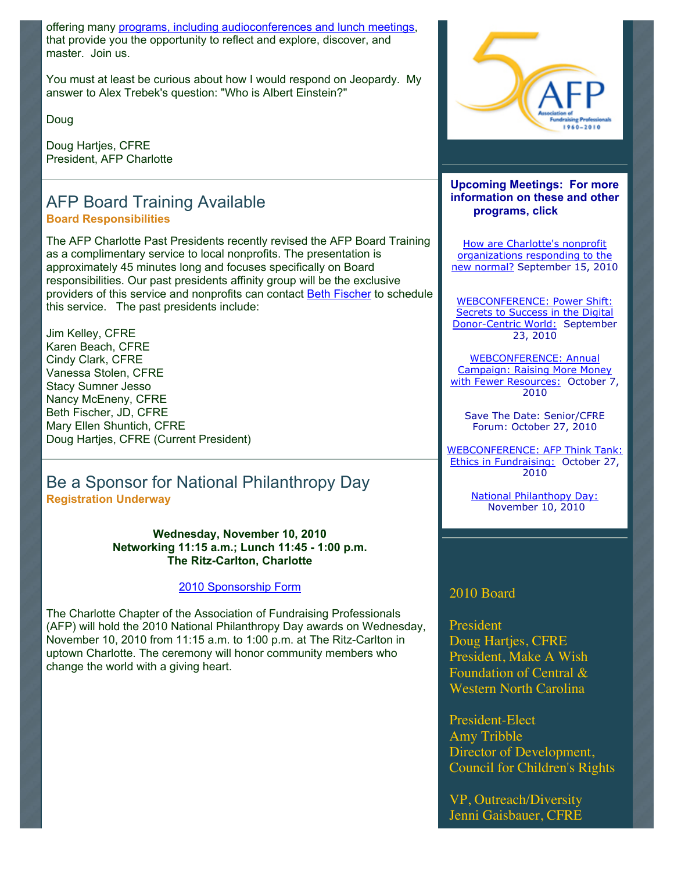offering many [programs, including audioconferences and lunch meetings,](http://www.afp-charlotte.org/rsvp.html) that provide you the opportunity to reflect and explore, discover, and master. Join us.

You must at least be curious about how I would respond on Jeopardy. My answer to Alex Trebek's question: "Who is Albert Einstein?"

Doug

Doug Hartjes, CFRE President, AFP Charlotte

### AFP Board Training Available **Board Responsibilities**

The AFP Charlotte Past Presidents recently revised the AFP Board Training as a complimentary service to local nonprofits. The presentation is approximately 45 minutes long and focuses specifically on Board responsibilities. Our past presidents affinity group will be the exclusive providers of this service and nonprofits can contact [Beth Fischer](mailto:beth.fischer@uncc.edu) to schedule this service. The past presidents include:

Jim Kelley, CFRE Karen Beach, CFRE Cindy Clark, CFRE Vanessa Stolen, CFRE Stacy Sumner Jesso Nancy McEneny, CFRE Beth Fischer, JD, CFRE Mary Ellen Shuntich, CFRE Doug Hartjes, CFRE (Current President)

### Be a Sponsor for National Philanthropy Day **Registration Underway**

**Wednesday, November 10, 2010 Networking 11:15 a.m.; Lunch 11:45 - 1:00 p.m. The Ritz-Carlton, Charlotte**

[2010 Sponsorship Form](http://www.afp-charlotte.org/customers/102012921065393/filemanager/2010_Sponsorship_Form.pdf)

The Charlotte Chapter of the Association of Fundraising Professionals (AFP) will hold the 2010 National Philanthropy Day awards on Wednesday, November 10, 2010 from 11:15 a.m. to 1:00 p.m. at The Ritz-Carlton in uptown Charlotte. The ceremony will honor community members who change the world with a giving heart.



**Upcoming Meetings: For more information on these and other programs, click** 

How are Charlotte's nonprofit organizations responding to the [new normal? September 15, 201](http://www.afp-charlotte.org/rsvp_details.html?id=2826)0

WEBCONFERENCE: Power Shift: Secrets to Success in the Digital [Donor-Centric World: September](http://www.afp-charlotte.org/rsvp_details.html?id=2821) 23, 2010

WEBCONFERENCE: Annual Campaign: Raising More Money [with Fewer Resources: October 7](http://www.afp-charlotte.org/rsvp_details.html?id=2822), 2010

Save The Date: Senior/CFRE Forum: October 27, 2010

[WEBCONFERENCE: AFP Think Tank:](http://www.afp-charlotte.org/rsvp_details.html?id=2824) Ethics in Fundraising: October 27, 2010

> [National Philanthopy Day:](http://www.afp-charlotte.org/rsvp_details.html?id=2925) November 10, 2010

### 2010 Board

President Doug Hartjes, CFRE President, Make A Wish Foundation of Central & Western North Carolina

President-Elect Amy Tribble Director of Development, Council for Children's Rights

VP, Outreach/Diversity Jenni Gaisbauer, CFRE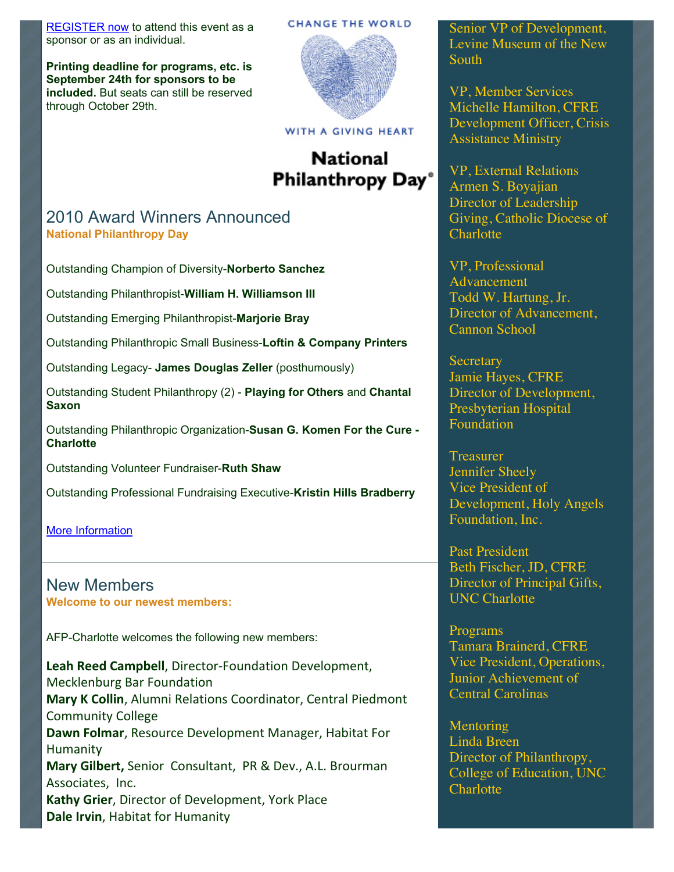[REGISTER now](http://www.afp-charlotte.org/rsvp_details.html?id=2925) to attend this event as a sponsor or as an individual.

**Printing deadline for programs, etc. is September 24th for sponsors to be included.** But seats can still be reserved through October 29th.

#### **CHANGE THE WORLD**



#### WITH A GIVING HEART

# **National** Philanthropy Day<sup>®</sup>

### 2010 Award Winners Announced **National Philanthropy Day**

Outstanding Champion of Diversity-**Norberto Sanchez**

Outstanding Philanthropist-**William H. Williamson III**

Outstanding Emerging Philanthropist-**Marjorie Bray**

Outstanding Philanthropic Small Business-**Loftin & Company Printers**

Outstanding Legacy- **James Douglas Zeller** (posthumously)

Outstanding Student Philanthropy (2) - **Playing for Others** and **Chantal Saxon**

Outstanding Philanthropic Organization-**Susan G. Komen For the Cure - Charlotte**

Outstanding Volunteer Fundraiser-**Ruth Shaw**

Outstanding Professional Fundraising Executive-**Kristin Hills Bradberry**

[More Information](http://archive.constantcontact.com/fs051/1101610725496/archive/1103605995535.html)

New Members **Welcome to our newest members:**

AFP-Charlotte welcomes the following new members:

Leah Reed Campbell, Director-Foundation Development, Mecklenburg Bar Foundation **Mary K Collin, Alumni Relations Coordinator, Central Piedmont** Community College Dawn Folmar, Resource Development Manager, Habitat For Humanity **Mary Gilbert, Senior Consultant, PR & Dev., A.L. Brourman** Associates, Inc. Kathy Grier, Director of Development, York Place **Dale Irvin, Habitat for Humanity** 

Senior VP of Development, Levine Museum of the New South

VP, Member Services Michelle Hamilton, CFRE Development Officer, Crisis Assistance Ministry

VP, External Relations Armen S. Boyajian Director of Leadership Giving, Catholic Diocese of **Charlotte** 

VP, Professional Advancement Todd W. Hartung, Jr. Director of Advancement, Cannon School

**Secretary** Jamie Hayes, CFRE Director of Development, Presbyterian Hospital Foundation

**Treasurer** Jennifer Sheely Vice President of Development, Holy Angels Foundation, Inc.

Past President Beth Fischer, JD, CFRE Director of Principal Gifts, UNC Charlotte

Programs Tamara Brainerd, CFRE Vice President, Operations, Junior Achievement of Central Carolinas

**Mentoring** Linda Breen Director of Philanthropy, College of Education, UNC **Charlotte**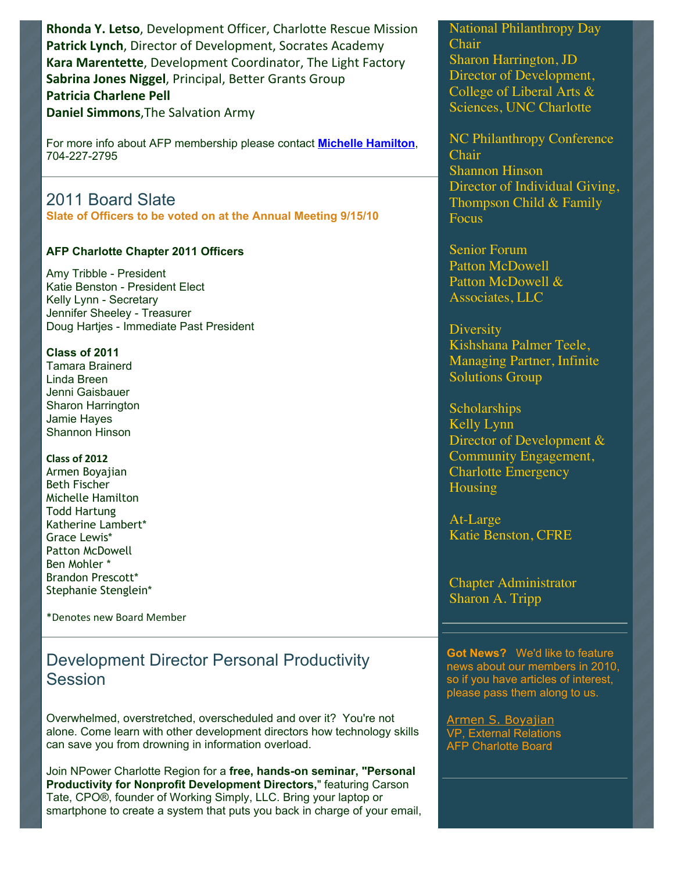Rhonda Y. Letso, Development Officer, Charlotte Rescue Mission Patrick Lynch, Director of Development, Socrates Academy Kara Marentette, Development Coordinator, The Light Factory Sabrina Jones Niggel, Principal, Better Grants Group **Patricia Charlene Pell Daniel Simmons, The Salvation Army** 

For more info about AFP membership please contact **[Michelle Hamilton](mailto:mhamilton@crisisassistance.org)**, 704-227-2795

# 2011 Board Slate

**Slate of Officers to be voted on at the Annual Meeting 9/15/10**

#### **AFP Charlotte Chapter 2011 Officers**

Amy Tribble - President Katie Benston - President Elect Kelly Lynn - Secretary Jennifer Sheeley - Treasurer Doug Hartjes - Immediate Past President

**Class of 2011** Tamara Brainerd Linda Breen Jenni Gaisbauer Sharon Harrington Jamie Hayes Shannon Hinson

**Class%of%2012** Armen Boyajian Beth Fischer Michelle Hamilton Todd Hartung Katherine Lambert\* Grace Lewis\* Patton McDowell Ben Mohler \* Brandon Prescott\* Stephanie Stenglein\*

\*Denotes"new"Board"Member

# Development Director Personal Productivity Session

Overwhelmed, overstretched, overscheduled and over it? You're not alone. Come learn with other development directors how technology skills can save you from drowning in information overload.

Join NPower Charlotte Region for a **free, hands-on seminar, "Personal Productivity for Nonprofit Development Directors,**" featuring Carson Tate, CPO®, founder of Working Simply, LLC. Bring your laptop or smartphone to create a system that puts you back in charge of your email, National Philanthropy Day Chair Sharon Harrington, JD Director of Development, College of Liberal Arts & Sciences, UNC Charlotte

NC Philanthropy Conference Chair Shannon Hinson Director of Individual Giving, Thompson Child & Family Focus

Senior Forum Patton McDowell Patton McDowell & Associates, LLC

**Diversity** Kishshana Palmer Teele, Managing Partner, Infinite Solutions Group

**Scholarships** Kelly Lynn Director of Development & Community Engagement, Charlotte Emergency Housing

At-Large Katie Benston, CFRE

Chapter Administrator Sharon A. Tripp

**Got News?** We'd like to feature news about our members in 2010, so if you have articles of interest, please pass them along to us.

[Armen S. Boyajian](mailto:asboyajian@charlottediocese.org) VP, External Relations AFP Charlotte Board